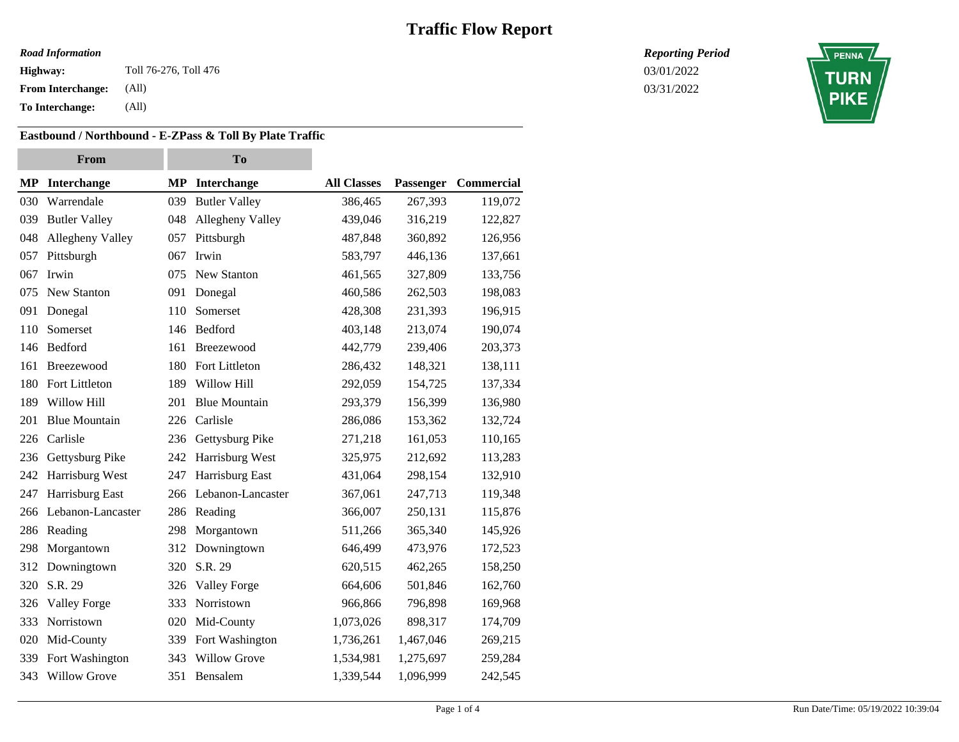#### *Road Information*

**Highway:** Toll 76-276, Toll 476 **Contract 2018** To the United States of the United States of the United States of the United States of the United States of the United States of the United States of the United States of th

**From Interchange:** (All)

**To Interchange:** (All)

### **Eastbound / Northbound - E-ZPass & Toll By Plate Traffic**

|     | From                 |     | <b>To</b>            |                    |           |            |
|-----|----------------------|-----|----------------------|--------------------|-----------|------------|
| MP  | <b>Interchange</b>   |     | MP Interchange       | <b>All Classes</b> | Passenger | Commercial |
| 030 | Warrendale           | 039 | <b>Butler Valley</b> | 386,465            | 267,393   | 119,072    |
| 039 | <b>Butler Valley</b> | 048 | Allegheny Valley     | 439,046            | 316,219   | 122,827    |
| 048 | Allegheny Valley     | 057 | Pittsburgh           | 487,848            | 360,892   | 126,956    |
| 057 | Pittsburgh           | 067 | Irwin                | 583,797            | 446,136   | 137,661    |
| 067 | Irwin                | 075 | New Stanton          | 461,565            | 327,809   | 133,756    |
| 075 | New Stanton          | 091 | Donegal              | 460,586            | 262,503   | 198,083    |
| 091 | Donegal              | 110 | Somerset             | 428,308            | 231,393   | 196,915    |
| 110 | Somerset             | 146 | Bedford              | 403,148            | 213,074   | 190,074    |
| 146 | Bedford              | 161 | Breezewood           | 442,779            | 239,406   | 203,373    |
| 161 | Breezewood           | 180 | Fort Littleton       | 286,432            | 148,321   | 138,111    |
| 180 | Fort Littleton       | 189 | Willow Hill          | 292,059            | 154,725   | 137,334    |
| 189 | Willow Hill          | 201 | <b>Blue Mountain</b> | 293,379            | 156,399   | 136,980    |
| 201 | <b>Blue Mountain</b> | 226 | Carlisle             | 286,086            | 153,362   | 132,724    |
| 226 | Carlisle             | 236 | Gettysburg Pike      | 271,218            | 161,053   | 110,165    |
| 236 | Gettysburg Pike      | 242 | Harrisburg West      | 325,975            | 212,692   | 113,283    |
| 242 | Harrisburg West      | 247 | Harrisburg East      | 431,064            | 298,154   | 132,910    |
| 247 | Harrisburg East      | 266 | Lebanon-Lancaster    | 367,061            | 247,713   | 119,348    |
| 266 | Lebanon-Lancaster    | 286 | Reading              | 366,007            | 250,131   | 115,876    |
| 286 | Reading              | 298 | Morgantown           | 511,266            | 365,340   | 145,926    |
| 298 | Morgantown           | 312 | Downingtown          | 646,499            | 473,976   | 172,523    |
| 312 | Downingtown          | 320 | S.R. 29              | 620,515            | 462,265   | 158,250    |
| 320 | S.R. 29              | 326 | <b>Valley Forge</b>  | 664,606            | 501,846   | 162,760    |
| 326 | <b>Valley Forge</b>  | 333 | Norristown           | 966,866            | 796,898   | 169,968    |
| 333 | Norristown           | 020 | Mid-County           | 1,073,026          | 898,317   | 174,709    |
| 020 | Mid-County           | 339 | Fort Washington      | 1,736,261          | 1,467,046 | 269,215    |
| 339 | Fort Washington      | 343 | <b>Willow Grove</b>  | 1,534,981          | 1,275,697 | 259,284    |
| 343 | <b>Willow Grove</b>  | 351 | Bensalem             | 1,339,544          | 1,096,999 | 242,545    |

*Reporting Period*

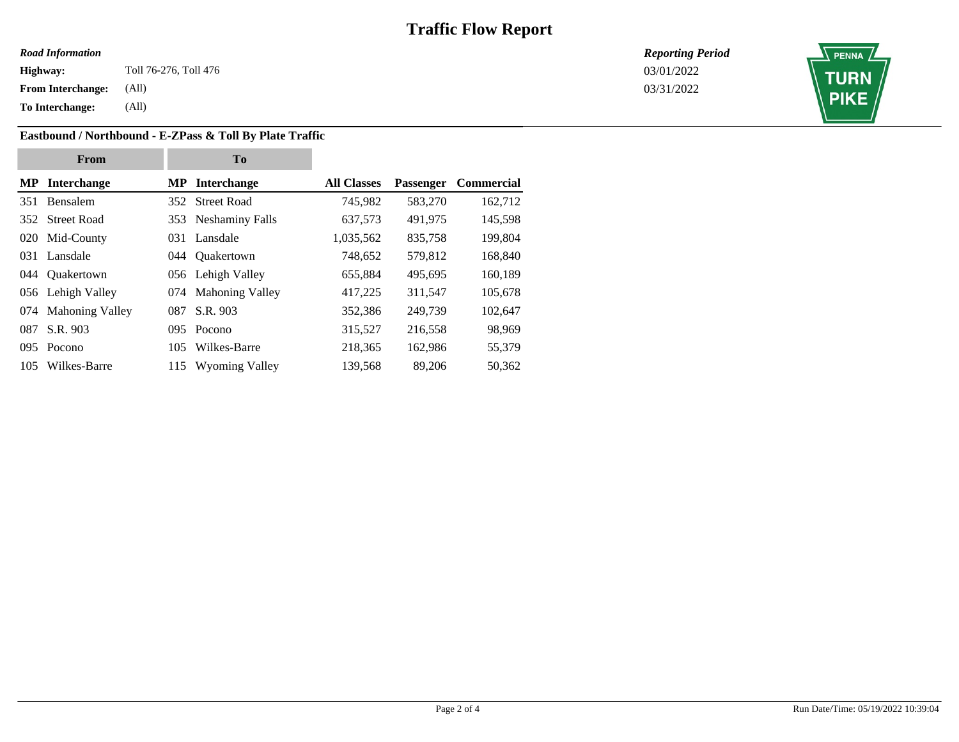#### *Road Information*

**Highway:** Toll 76-276, Toll 476 **Contract 2018** To the United States of the United States of the United States of the United States of the United States of the United States of the United States of the United States of th

**From Interchange:** (All)

**To Interchange:** (All)

**Eastbound / Northbound - E-ZPass & Toll By Plate Traffic**

| From |                       | T <sub>0</sub> |                       |                    |                  |                   |  |
|------|-----------------------|----------------|-----------------------|--------------------|------------------|-------------------|--|
|      | <b>MP</b> Interchange |                | <b>MP</b> Interchange | <b>All Classes</b> | <b>Passenger</b> | <b>Commercial</b> |  |
|      | 351 Bensalem          |                | 352 Street Road       | 745,982            | 583,270          | 162,712           |  |
|      | 352 Street Road       |                | 353 Neshaminy Falls   | 637,573            | 491,975          | 145,598           |  |
|      | 020 Mid-County        |                | 031 Lansdale          | 1,035,562          | 835,758          | 199,804           |  |
|      | 031 Lansdale          |                | 044 Ouakertown        | 748,652            | 579,812          | 168,840           |  |
|      | 044 Ouakertown        |                | 056 Lehigh Valley     | 655,884            | 495,695          | 160,189           |  |
|      | 056 Lehigh Valley     |                | 074 Mahoning Valley   | 417,225            | 311,547          | 105,678           |  |
|      | 074 Mahoning Valley   | 087            | S.R. 903              | 352,386            | 249,739          | 102,647           |  |
|      | 087 S.R. 903          |                | 095 Pocono            | 315,527            | 216,558          | 98,969            |  |
|      | 095 Pocono            | 105            | Wilkes-Barre          | 218,365            | 162,986          | 55,379            |  |
|      | 105 Wilkes-Barre      |                | 115 Wyoming Valley    | 139,568            | 89,206           | 50,362            |  |
|      |                       |                |                       |                    |                  |                   |  |

*Reporting Period*

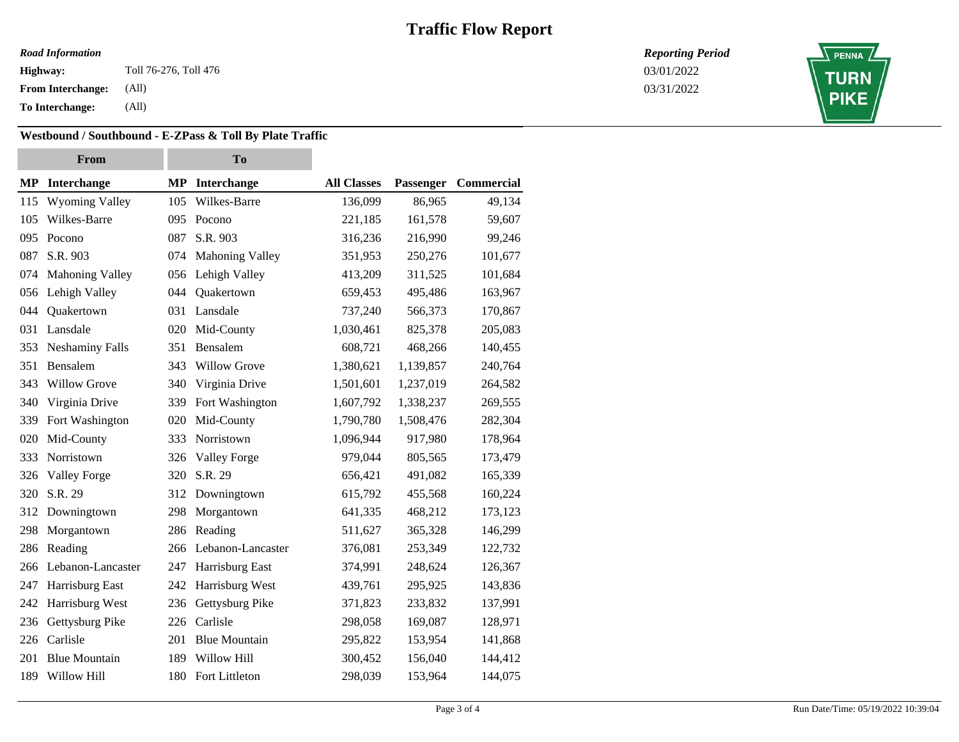#### *Road Information*

**Highway:** Toll 76-276, Toll 476 **Contract 2018** To the United States of the United States of the United States of the United States of the United States of the United States of the United States of the United States of th

**From Interchange:** (All)

**To Interchange:** (All)

### **Westbound / Southbound - E-ZPass & Toll By Plate Traffic**

| From |                        | To  |                      |                    |           |            |
|------|------------------------|-----|----------------------|--------------------|-----------|------------|
|      | <b>MP</b> Interchange  | MP  | Interchange          | <b>All Classes</b> | Passenger | Commercial |
| 115  | <b>Wyoming Valley</b>  | 105 | Wilkes-Barre         | 136,099            | 86,965    | 49,134     |
| 105  | Wilkes-Barre           | 095 | Pocono               | 221,185            | 161,578   | 59,607     |
| 095  | Pocono                 | 087 | S.R. 903             | 316,236            | 216,990   | 99,246     |
| 087  | S.R. 903               | 074 | Mahoning Valley      | 351,953            | 250,276   | 101,677    |
| 074  | <b>Mahoning Valley</b> | 056 | Lehigh Valley        | 413,209            | 311,525   | 101,684    |
| 056  | Lehigh Valley          | 044 | Quakertown           | 659,453            | 495,486   | 163,967    |
| 044  | Quakertown             | 031 | Lansdale             | 737,240            | 566,373   | 170,867    |
| 031  | Lansdale               | 020 | Mid-County           | 1,030,461          | 825,378   | 205,083    |
| 353  | <b>Neshaminy Falls</b> | 351 | Bensalem             | 608,721            | 468,266   | 140,455    |
| 351  | Bensalem               | 343 | <b>Willow Grove</b>  | 1,380,621          | 1,139,857 | 240,764    |
| 343  | <b>Willow Grove</b>    | 340 | Virginia Drive       | 1,501,601          | 1,237,019 | 264,582    |
| 340  | Virginia Drive         | 339 | Fort Washington      | 1,607,792          | 1,338,237 | 269,555    |
| 339  | Fort Washington        | 020 | Mid-County           | 1,790,780          | 1,508,476 | 282,304    |
| 020  | Mid-County             | 333 | Norristown           | 1,096,944          | 917,980   | 178,964    |
| 333  | Norristown             | 326 | Valley Forge         | 979,044            | 805,565   | 173,479    |
| 326  | <b>Valley Forge</b>    | 320 | S.R. 29              | 656,421            | 491,082   | 165,339    |
| 320  | S.R. 29                | 312 | Downingtown          | 615,792            | 455,568   | 160,224    |
| 312  | Downingtown            | 298 | Morgantown           | 641,335            | 468,212   | 173,123    |
| 298  | Morgantown             | 286 | Reading              | 511,627            | 365,328   | 146,299    |
| 286  | Reading                | 266 | Lebanon-Lancaster    | 376,081            | 253,349   | 122,732    |
| 266  | Lebanon-Lancaster      | 247 | Harrisburg East      | 374,991            | 248,624   | 126,367    |
| 247  | Harrisburg East        | 242 | Harrisburg West      | 439,761            | 295,925   | 143,836    |
| 242  | Harrisburg West        | 236 | Gettysburg Pike      | 371,823            | 233,832   | 137,991    |
| 236  | Gettysburg Pike        | 226 | Carlisle             | 298,058            | 169,087   | 128,971    |
| 226  | Carlisle               | 201 | <b>Blue Mountain</b> | 295,822            | 153,954   | 141,868    |
| 201  | <b>Blue Mountain</b>   | 189 | Willow Hill          | 300,452            | 156,040   | 144,412    |
| 189  | Willow Hill            | 180 | Fort Littleton       | 298,039            | 153,964   | 144,075    |

*Reporting Period*